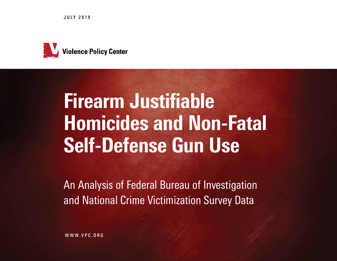JULY 2019



# Firearm Justifiable Homicides and Non-Fatal Self-Defense Gun Use

An Analysis of Federal Bureau of Investigation and National Crime Victimization Survey Data

WWW.VPC.ORG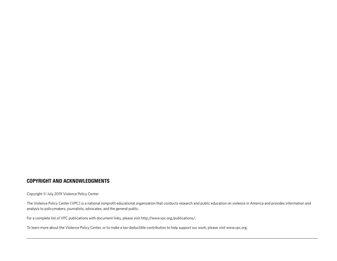#### COPYRIGHT AND ACKNOWLEDGMENTS

Copyright © July 2019 Violence Policy Center

The Violence Policy Center (VPC) is a national nonprofit educational organization that conducts research and public education on violence in America and provides information and analysis to policymakers, journalists, advocates, and the general public.

For a complete list of VPC publications with document links, please visit http://www.vpc.org/publications/.

To learn more about the Violence Policy Center, or to make a tax-deductible contribution to help support our work, please visit www.vpc.org.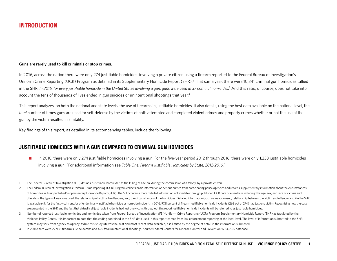# INTRODUCTION

#### **Guns are rarely used to kill criminals or stop crimes.**

In 2016, across the nation there were only 274 justifiable homicides<sup>1</sup> involving a private citizen using a firearm reported to the Federal Bureau of Investigation's Uniform Crime Reporting (UCR) Program as detailed in its Supplementary Homicide Report (SHR).<sup>2</sup> That same year, there were 10,341 criminal gun homicides tallied in the SHR. *In 2016, for every justifiable homicide in the United States involving a gun, guns were used in 37 criminal homicides*. 3 And this ratio, of course, does not take into account the tens of thousands of lives ended in gun suicides or unintentional shootings that year.<sup>4</sup>

This report analyzes, on both the national and state levels, the use of firearms in justifiable homicides. It also details, using the best data available on the national level, the *total* number of times guns are used for self-defense by the victims of both attempted and completed violent crimes and property crimes whether or not the use of the gun by the victim resulted in a fatality.

Key findings of this report, as detailed in its accompanying tables, include the following.

#### JUSTIFIABLE HOMICIDES WITH A GUN COMPARED TO CRIMINAL GUN HOMICIDES

- In 2016, there were only 274 justifiable homicides involving a gun. For the five-year period 2012 through 2016, there were only 1,233 justifiable homicides involving a gun. [For additional information see *Table One: Firearm Justifiable Homicides by State, 2012-2016*.]
- 1 The Federal Bureau of Investigation (FBI) defines "justifiable homicide" as the killing of a felon, during the commission of a felony, by a private citizen.
- 2 The Federal Bureau of Investigation's Uniform Crime Reporting (UCR) Program collects basic information on serious crimes from participating police agencies and records supplementary information about the circumstances of homicides in its unpublished Supplementary Homicide Report (SHR). The SHR contains more detailed information not available through published UCR data or elsewhere including: the age, sex, and race of victims and offenders; the types of weapons used; the relationship of victims to offenders; and, the circumstances of the homicides. Detailed information (such as weapon used, relationship between the victim and offender, etc.) in the is available only for the first victim and/or offender in any justifiable homicide or homicide incident. In 2016, 97.8 percent of firearm justifiable homicide incidents (268 out of 274) had just one victim. Recognizing how are presented in the SHR and the fact that virtually all justifiable incidents had just one victim, throughout this report justifiable homicide incidents will be referred to as justifiable homicides.
- 3 Number of reported justifiable homicides and homicides taken from Federal Bureau of Investigation (FBI) Uniform Crime Reporting (UCR) Program Supplementary Homicide Report (SHR) as tabulated by the Violence Policy Center. It is important to note that the coding contained in the SHR data used in this report comes from law enforcement reporting at the local level. The level of information submitted to the SHR system may vary from agency to agency. While this study utilizes the best and most recent data available, it is limited by the degree of detail in the information submitted.
- 4 In 2016 there were 22,938 firearm suicide deaths and 495 fatal unintentional shootings. Source: Federal Centers for Disease Control and Prevention WISQARS database.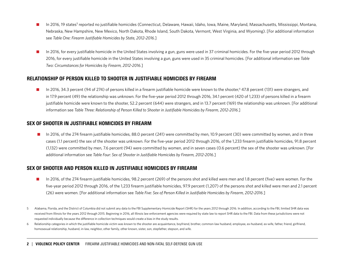- In 2016, 19 states<sup>5</sup> reported no justifiable homicides (Connecticut, Delaware, Hawaii, Idaho, Iowa, Maine, Maryland, Massachusetts, Mississippi, Montana, Nebraska, New Hampshire, New Mexico, North Dakota, Rhode Island, South Dakota, Vermont, West Virginia, and Wyoming). [For additional information see *Table One: Firearm Justifiable Homicides by State, 2012-2016*.]
- n 2016, for every justifiable homicide in the United States involving a gun, guns were used in 37 criminal homicides. For the five-year period 2012 through 2016, for every justifiable homicide in the United States involving a gun, guns were used in 35 criminal homicides. [For additional information see *Table Two: Circumstances for Homicides by Firearm, 2012-2016*.]

### RELATIONSHIP OF PERSON KILLED TO SHOOTER IN JUSTIFIABLE HOMICIDES BY FIREARM

■ In 2016, 34.3 percent (94 of 274) of persons killed in a firearm justifiable homicide were known to the shooter,<sup>6</sup> 47.8 percent (131) were strangers, and in 17.9 percent (49) the relationship was unknown. For the five-year period 2012 through 2016, 34.1 percent (420 of 1,233) of persons killed in a firearm justifiable homicide were known to the shooter, 52.2 percent (644) were strangers, and in 13.7 percent (169) the relationship was unknown. [For additional information see *Table Three: Relationship of Person Killed to Shooter in Justifiable Homicides by Firearm, 2012-2016*.]

#### SEX OF SHOOTER IN JUSTIFIABLE HOMICIDES BY FIREARM

■ In 2016, of the 274 firearm justifiable homicides, 88.0 percent (241) were committed by men, 10.9 percent (30) were committed by women, and in three cases (1.1 percent) the sex of the shooter was unknown. For the five-year period 2012 through 2016, of the 1,233 firearm justifiable homicides, 91.8 percent (1,132) were committed by men, 7.6 percent (94) were committed by women, and in seven cases (0.6 percent) the sex of the shooter was unknown. [For additional information see *Table Four: Sex of Shooter in Justifiable Homicides by Firearm, 2012-2016*.]

### SEX OF SHOOTER AND PERSON KILLED IN JUSTIFIABLE HOMICIDES BY FIREARM

- In 2016, of the 274 firearm justifiable homicides, 98.2 percent (269) of the persons shot and killed were men and 1.8 percent (five) were women. For the five-year period 2012 through 2016, of the 1,233 firearm justifiable homicides, 97.9 percent (1,207) of the persons shot and killed were men and 2.1 percent (26) were women. [For additional information see *Table Five: Sex of Person Killed in Justifiable Homicides by Firearm, 2012-2016*.]
- 5 Alabama, Florida, and the District of Columbia did not submit any data to the FBI Supplementary Homicide Report (SHR) for the years 2012 through 2016. In addition, according to the FBI, limited SHR data was received from Illinois for the years 2012 through 2015. Beginning in 2016, all Illinois law enforcement agencies were required by state law to report SHR data to the FBI. Data from these jurisdictions were not requested individually because the difference in collection techniques would create a bias in the study results.
- 6 Relationship categories in which the justifiable homicide victim was known to the shooter are acquaintance, boyfriend, brother, common-law husband, employee, ex-husband, ex-wife, father, friend, girlfriend, homosexual relationship, husband, in-law, neighbor, other family, other known, sister, son, stepfather, stepson, and wife.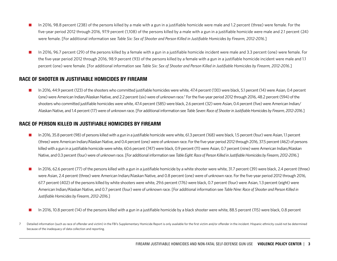- n In 2016, 98.8 percent (238) of the persons killed by a male with a gun in a justifiable homicide were male and 1.2 percent (three) were female. For the five-year period 2012 through 2016, 97.9 percent (1,108) of the persons killed by a male with a gun in a justifiable homicide were male and 2.1 percent (24) were female. [For additional information see *Table Six: Sex of Shooter and Person Killed in Justifiable Homicides by Firearm, 2012-2016*.]
- n In 2016, 96.7 percent (29) of the persons killed by a female with a gun in a justifiable homicide incident were male and 3.3 percent (one) were female. For the five-year period 2012 through 2016, 98.9 percent (93) of the persons killed by a female with a gun in a justifiable homicide incident were male and 1.1 percent (one) were female. [For additional information see *Table Six: Sex of Shooter and Person Killed in Justifiable Homicides by Firearm, 2012-2016*.]

#### RACE OF SHOOTER IN JUSTIFIABLE HOMICIDES BY FIREARM

n In 2016, 44.9 percent (123) of the shooters who committed justifiable homicides were white, 47.4 percent (130) were black, 5.1 percent (14) were Asian, 0.4 percent (one) were American Indian/Alaskan Native, and 2.2 percent (six) were of unknown race.7 For the five-year period 2012 through 2016, 48.2 percent (594) of the shooters who committed justifiable homicides were white, 47.4 percent (585) were black, 2.6 percent (32) were Asian, 0.4 percent (five) were American Indian/ Alaskan Native, and 1.4 percent (17) were of unknown race. [For additional information see *Table Seven: Race of Shooter in Justifiable Homicides by Firearm, 2012-2016*.]

#### RACE OF PERSON KILLED IN JUSTIFIABLE HOMICIDES BY FIREARM

- n In 2016, 35.8 percent (98) of persons killed with a gun in a justifiable homicide were white, 61.3 percent (168) were black, 1.5 percent (four) were Asian, 1.1 percent (three) were American Indian/Alaskan Native, and 0.4 percent (one) were of unknown race. For the five-year period 2012 through 2016, 37.5 percent (462) of persons killed with a gun in a justifiable homicide were white, 60.6 percent (747) were black, 0.9 percent (11) were Asian, 0.7 percent (nine) were American Indian/Alaskan Native, and 0.3 percent (four) were of unknown race. [For additional information see *Table Eight: Race of Person Killed in Justifiable Homicides by Firearm, 2012-2016*.]
- n In 2016, 62.6 percent (77) of the persons killed with a gun in a justifiable homicide by a white shooter were white, 31.7 percent (39) were black, 2.4 percent (three) were Asian, 2.4 percent (three) were American Indian/Alaskan Native, and 0.8 percent (one) were of unknown race. For the five-year period 2012 through 2016, 67.7 percent (402) of the persons killed by white shooters were white, 29.6 percent (176) were black, 0.7 percent (four) were Asian, 1.3 percent (eight) were American Indian/Alaskan Native, and 0.7 percent (four) were of unknown race. [For additional information see *Table Nine: Race of Shooter and Person Killed in Justifiable Homicides by Firearm, 2012-2016*.]
- n In 2016, 10.8 percent (14) of the persons killed with a gun in a justifiable homicide by a black shooter were white, 88.5 percent (115) were black, 0.8 percent
- 7 Detailed information (such as race of offender and victim) in the FBI's Supplementary Homicide Report is only available for the first victim and/or offender in the incident. Hispanic ethnicity could not be determined because of the inadequacy of data collection and reporting.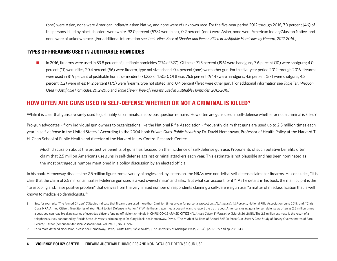(one) were Asian, none were American Indian/Alaskan Native, and none were of unknown race. For the five-year period 2012 through 2016, 7.9 percent (46) of the persons killed by black shooters were white, 92.0 percent (538) were black, 0.2 percent (one) were Asian, none were American Indian/Alaskan Native, and none were of unknown race. [For additional information see *Table Nine: Race of Shooter and Person Killed in Justifiable Homicides by Firearm, 2012-2016*.]

#### TYPES OF FIREARMS USED IN JUSTIFIABLE HOMICIDES

n In 2016, firearms were used in 83.8 percent of justifiable homicides (274 of 327). Of these: 71.5 percent (196) were handguns; 3.6 percent (10) were shotguns; 4.0 percent (11) were rifles; 20.4 percent (56) were firearm, type not stated; and, 0.4 percent (one) were other gun. For the five-year period 2012 through 2016, firearms were used in 81.9 percent of justifiable homicide incidents (1,233 of 1,505). Of these: 76.6 percent (944) were handguns; 4.6 percent (57) were shotguns; 4.2 percent (52) were rifles; 14.2 percent (175) were firearm, type not stated; and, 0.4 percent (five) were other gun. [For additional information see *Table Ten: Weapon Used in Justifiable Homicides, 2012-2016* and *Table Eleven: Type of Firearms Used in Justifiable Homicides, 2012-2016*.]

# HOW OFTEN ARE GUNS USED IN SELF-DEFENSE WHETHER OR NOT A CRIMINAL IS KILLED?

While it is clear that guns are rarely used to justifiably kill criminals, an obvious question remains: How often are guns used in self-defense whether or not a criminal is killed?

Pro-gun advocates – from individual gun owners to organizations like the National Rifle Association – frequently claim that guns are used up to 2.5 million times each year in self-defense in the United States.<sup>8</sup> According to the 2004 book *Private Guns, Public Health* by Dr. David Hemenway, Professor of Health Policy at the Harvard T. H. Chan School of Public Health and director of the Harvard Injury Control Research Center:

Much discussion about the protective benefits of guns has focused on the incidence of self-defense gun use. Proponents of such putative benefits often claim that 2.5 million Americans use guns in self-defense against criminal attackers each year. This estimate is not plausible and has been nominated as the most outrageous number mentioned in a policy discussion by an elected official.

In his book, Hemenway dissects the 2.5 million figure from a variety of angles and, by extension, the NRA's own non-lethal self-defense claims for firearms. He concludes, "It is clear that the claim of 2.5 million annual self-defense gun uses is a vast overestimate" and asks, "But what can account for it?" As he details in his book, the main culprit is the "telescoping and...false positive problem" that derives from the very limited number of respondents claiming a self-defense gun use, "a matter of misclassification that is well known to medical epidemiologists."9

- 8 See, for example: "The Armed Citizen" ("Studies indicate that firearms are used more than 2 million times a year for personal protection...."), America's 1st Freedom, National Rifle Association, June 2019; and, "Chris Cox's NRA Armed Citizen: True Stories of Your Right to Self Defense in Action," ("While the anti gun media doesn't want to report the truth about Americans using guns for self defense as often as 2.5 million times a year, you can read breaking stories of everyday citizens fending off violent criminals in CHRIS COX'S ARMED CITIZEN"), *Armed Citizen E-Newsletter* (March 26, 2015). The 2.5 million estimate is the result of a telephone survey conducted by Florida State University criminologist Dr. Gary Kleck, see Hemenway, David, "The Myth of Millions of Annual Self-Defense Gun Uses: A Case Study of Survey Overestimates of Rare Events," *Chance* (American Statistical Association), Volume 10, No. 3, 1997.
- 9 For a more detailed discussion, please see Hemenway, David, *Private Guns, Public Health*, (The University of Michigan Press, 2004), pp. 66-69 and pp. 238-243.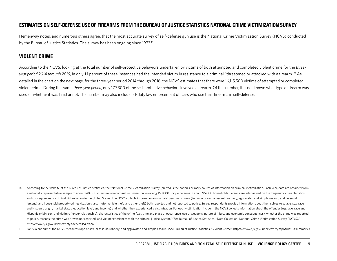#### ESTIMATES ON SELF-DEFENSE USE OF FIREARMS FROM THE BUREAU OF JUSTICE STATISTICS NATIONAL CRIME VICTIMIZATION SURVEY

Hemenway notes, and numerous others agree, that the most accurate survey of self-defense gun use is the National Crime Victimization Survey (NCVS) conducted by the Bureau of Justice Statistics. The survey has been ongoing since 1973.<sup>10</sup>

#### VIOLENT CRIME

According to the NCVS, looking at the total number of self-protective behaviors undertaken by victims of both attempted and completed violent crime for the *threeyear period 2014 through 2016*, in only 1.1 percent of these instances had the intended victim in resistance to a criminal "threatened or attacked with a firearm."11 As detailed in the chart on the next page, for the three-year period 2014 through 2016, the NCVS estimates that there were 16,115,500 victims of attempted or completed violent crime. During this same *three-year period*, only 177,300 of the self-protective behaviors involved a firearm. Of this number, it is not known what type of firearm was used or whether it was fired or not. The number may also include off-duty law enforcement officers who use their firearms in self-defense.

- 10 According to the website of the Bureau of Justice Statistics, the "National Crime Victimization Survey (NCVS) is the nation's primary source of information on criminal victimization. Each year, data are obtained from a nationally representative sample of about 240,000 interviews on criminal victimization, involving 160,000 unique persons in about 95,000 households. Persons are interviewed on the frequency, characteristics, and consequences of criminal victimization in the United States. The NCVS collects information on nonfatal personal crimes (i.e., rape or sexual assault, robbery, aggravated and simple assault, and personal larceny) and household property crimes (i.e., burglary, motor vehicle theft, and other theft) both reported and not reported to police. Survey respondents provide information about themselves (e.g., age, sex, race and Hispanic origin, marital status, education level, and income) and whether they experienced a victimization. For each victimization incident, the NCVS collects information about the offender (e.g., age, race and Hispanic origin, sex, and victim-offender relationship), characteristics of the crime (e.g., time and place of occurrence, use of weapons, nature of injury, and economic consequences), whether the crime was reported to police, reasons the crime was or was not reported, and victim experiences with the criminal justice system." (See Bureau of Justice Statistics, "Data Collection: National Crime Victimization Survey (NCVS)," http://www.bjs.gov/index.cfm?ty=dcdetail&iid=245.)
- 11 For "violent crime" the NCVS measures rape or sexual assault, robbery, and aggravated and simple assault. (See Bureau of Justice Statistics, "Violent Crime," https://www.bjs.gov/index.cfm?ty=tp&tid=31#summary.)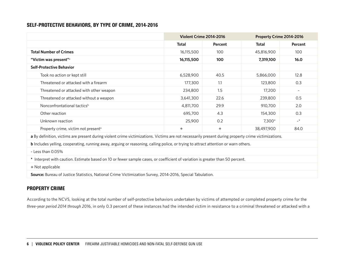### SELF-PROTECTIVE BEHAVIORS, BY TYPE OF CRIME, 2014-2016

|                                                                                                                                                     | <b>Violent Crime 2014-2016</b>                                                                                                |            | Property Crime 2014-2016 |          |  |  |  |  |  |  |  |  |
|-----------------------------------------------------------------------------------------------------------------------------------------------------|-------------------------------------------------------------------------------------------------------------------------------|------------|--------------------------|----------|--|--|--|--|--|--|--|--|
|                                                                                                                                                     | <b>Total</b>                                                                                                                  | Percent    | <b>Total</b>             | Percent  |  |  |  |  |  |  |  |  |
| <b>Total Number of Crimes</b>                                                                                                                       | 16,115,500                                                                                                                    | 100        | 45,816,900               | 100      |  |  |  |  |  |  |  |  |
| "Victim was present" <sup>a</sup>                                                                                                                   | 16,115,500                                                                                                                    | 100        | 7,319,100                | 16.0     |  |  |  |  |  |  |  |  |
| <b>Self-Protective Behavior</b>                                                                                                                     |                                                                                                                               |            |                          |          |  |  |  |  |  |  |  |  |
| Took no action or kept still                                                                                                                        | 6,528,900                                                                                                                     | 40.5       | 5,866,000                | 12.8     |  |  |  |  |  |  |  |  |
| Threatened or attacked with a firearm                                                                                                               | 177,300                                                                                                                       | 1.1        | 123,800                  | 0.3      |  |  |  |  |  |  |  |  |
| Threatened or attacked with other weapon                                                                                                            | 234,800<br>17,200<br>1.5<br>$\sim$                                                                                            |            |                          |          |  |  |  |  |  |  |  |  |
| 3,641,300<br>239,800<br>22.6<br>Threatened or attacked without a weapon                                                                             |                                                                                                                               |            |                          |          |  |  |  |  |  |  |  |  |
| Nonconfrontational tactics <sup>b</sup>                                                                                                             | 4,811,700                                                                                                                     | 29.9       | 910,700                  | 2.0      |  |  |  |  |  |  |  |  |
| Other reaction                                                                                                                                      | 695,700                                                                                                                       | 4.3        | 154,300                  | 0.3      |  |  |  |  |  |  |  |  |
| Unknown reaction                                                                                                                                    | 25,900                                                                                                                        | 0.2        | 7,300*                   | $\sim$ * |  |  |  |  |  |  |  |  |
| Property crime, victim not present <sup>a</sup>                                                                                                     | $\ddagger$                                                                                                                    | $\ddagger$ | 38,497,900               | 84.0     |  |  |  |  |  |  |  |  |
| a By definition, victims are present during violent crime victimizations. Victims are not necessarily present during property crime victimizations. |                                                                                                                               |            |                          |          |  |  |  |  |  |  |  |  |
| <b>b</b> Includes yelling, cooperating, running away, arguing or reasoning, calling police, or trying to attract attention or warn others.          |                                                                                                                               |            |                          |          |  |  |  |  |  |  |  |  |
| ~ Less than 0.05%                                                                                                                                   |                                                                                                                               |            |                          |          |  |  |  |  |  |  |  |  |
|                                                                                                                                                     | * Interpret with caution. Estimate based on 10 or fewer sample cases, or coefficient of variation is greater than 50 percent. |            |                          |          |  |  |  |  |  |  |  |  |
| $\neq$ Not applicable                                                                                                                               |                                                                                                                               |            |                          |          |  |  |  |  |  |  |  |  |
| Source: Bureau of Justice Statistics, National Crime Victimization Survey, 2014-2016, Special Tabulation.                                           |                                                                                                                               |            |                          |          |  |  |  |  |  |  |  |  |

# PROPERTY CRIME

According to the NCVS, looking at the total number of self-protective behaviors undertaken by victims of attempted or completed property crime for the *three-year period 2014 through 201*6, in only 0.3 percent of these instances had the intended victim in resistance to a criminal threatened or attacked with a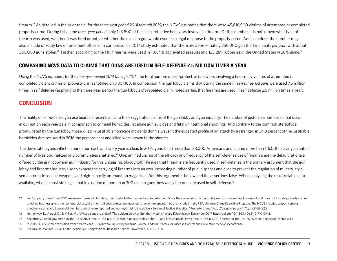firearm.12 As detailed in the prior table, for the *three-year period 2014 through 2016*, the NCVS estimates that there were 45,816,900 victims of attempted or completed property crime. During this same *three-year period*, only 123,800 of the self-protective behaviors involved a firearm. Of this number, it is not known what type of firearm was used, whether it was fired or not, or whether the use of a gun would even be a legal response to the property crime. And as before, the number may also include off-duty law enforcement officers. In comparison, a 2017 study estimated that there are approximately 250,000 gun theft incidents *per year*, with about 380,000 guns stolen.<sup>13</sup> Further, according to the FBI, firearms were used in 189,718 aggravated assaults and 125,289 robberies in the United States in 2016 alone.<sup>14</sup>

#### COMPARING NCVS DATA TO CLAIMS THAT GUNS ARE USED IN SELF-DEFENSE 2.5 MILLION TIMES A YEAR

Using the NCVS numbers, for the *three-year period 2014 through 2016*, the total number of self-protective behaviors involving a firearm by victims of attempted or completed violent crimes or property crimes totaled only 301,100. In comparison, the gun lobby claims that during the same *three-year period guns* were used 7.5 million times in self defense (applying to the three-year period the gun lobby's oft-repeated claim, noted earlier, that firearms are used in self defense 2.5 million times a year).

# **CONCLUSION**

The reality of self-defense gun use bears no resemblance to the exaggerated claims of the gun lobby and gun industry. The number of justifiable homicides that occur in our nation each year pale in comparison to criminal homicides, let alone gun suicides and fatal unintentional shootings. And contrary to the common stereotype promulgated by the gun lobby, those killed in justifiable homicide incidents don't always fit the expected profile of an attack by a stranger: in 34.3 percent of the justifiable homicides that occurred in 2016 the persons shot and killed were known to the shooter.

The devastation guns inflict on our nation each and every year is clear. In 2016, guns killed more than 38,000 Americans and injured more than 116,000, leaving an untold number of lives traumatized and communities shattered.<sup>15</sup> Unexamined claims of the efficacy and frequency of the self-defense use of firearms are the default rationale offered by the gun lobby and gun industry for this unceasing, bloody toll. The idea that firearms are frequently used in self-defense is the primary argument that the gun lobby and firearms industry use to expand the carrying of firearms into an ever-increasing number of public spaces and even to prevent the regulation of military-style semiautomatic assault weapons and high-capacity ammunition magazines. Yet this argument is hollow and the assertions false. When analyzing the most reliable data available, what is most striking is that in a nation of more than 300 million guns, how *rarely* firearms are used in self-defense.16

- 12 For "property crime" the NCVS measures household burglary, motor vehicle theft, as well as property theft. Since the survey information is obtained from a sample of households, it does not include property crimes affecting businesses or other commercial establishments. If such crimes are reported to law enforcement, they are included in the FBI's Uniform Crime Reporting Program. The NCVS includes property crimes affecting victims and household members which were reported and not reported to the police. (Bureau of Justice Statistics, "Property Crime," http://bjs.gov/index.cfm?ty=tp&tid=32.)
- 13 Hemenway, D., Azrael, D., & Miller, M., "Whose guns are stolen? The epidemiology of Gun theft victims." *Injury Epidemiology*, December 2017, http://doi.org/10.1186/s40621-017-0109-8.
- 14 See https://ucr.fbi.gov/crime-in-the-u.s/2016/crime-in-the-u.s.-2016/topic-pages/tables/table-14 and https://ucr.fbi.gov/crime-in-the-u.s/2016/crime-in-the-u.s.-2016/topic-pages/tables/table-13.
- 15 In 2016, 38,658 Americans died from firearms and 116,414 were injured by firearms. Source: Federal Centers for Disease Control and Prevention WISQARS database.
- 16 See Krouse, William J., *Gun Control Legislation*, Congressional Research Service, November 14, 2012, p. 8.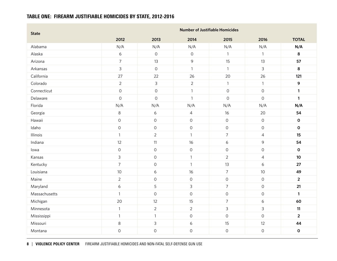# TABLE ONE: FIREARM JUSTIFIABLE HOMICIDES BY STATE, 2012-2016

| <b>State</b>  |                     |                     |                     | <b>Number of Justifiable Homicides</b> |                     |                |
|---------------|---------------------|---------------------|---------------------|----------------------------------------|---------------------|----------------|
|               | 2012                | 2013                | 2014                | 2015                                   | 2016                | <b>TOTAL</b>   |
| Alabama       | N/A                 | N/A                 | N/A                 | N/A                                    | N/A                 | N/A            |
| Alaska        | $\epsilon$          | $\mathsf{O}\xspace$ | $\mathsf{O}\xspace$ | $\mathbf{1}$                           | $\mathbf{1}$        | 8              |
| Arizona       | $\boldsymbol{7}$    | 13                  | $\mathsf{S}$        | 15                                     | 13                  | 57             |
| Arkansas      | 3                   | $\mathsf{O}\xspace$ | $\mathbf{1}$        | $\mathbf{1}$                           | $\mathsf{3}$        | 8              |
| California    | 27                  | 22                  | 26                  | 20                                     | 26                  | 121            |
| Colorado      | $\overline{2}$      | $\mathfrak{Z}$      | $\overline{2}$      | $\mathbf{1}$                           | $\mathbf{1}$        | 9              |
| Connecticut   | $\mathsf O$         | $\mathsf{O}\xspace$ | $\mathbf{1}$        | $\mathsf{O}\xspace$                    | $\mathsf O$         | $\mathbf{1}$   |
| Delaware      | $\mathbf 0$         | $\mathsf{O}$        | $\mathbf{1}$        | $\mathsf{O}\xspace$                    | $\mathsf O$         | $\mathbf{1}$   |
| Florida       | N/A                 | N/A                 | N/A                 | N/A                                    | N/A                 | N/A            |
| Georgia       | $\,8\,$             | $\epsilon$          | $\overline{4}$      | 16                                     | 20                  | 54             |
| Hawaii        | $\mathsf{O}\xspace$ | $\mathsf{O}$        | $\mathsf{O}\xspace$ | $\mathsf O$                            | $\mathsf{O}\xspace$ | $\mathbf 0$    |
| Idaho         | $\mathsf O$         | $\mathsf O$         | $\mathsf O$         | $\mathsf{O}\xspace$                    | $\mathsf O$         | $\mathbf 0$    |
| Illinois      | $\mathbf{1}$        | $\overline{2}$      | $\mathbf{1}$        | $\overline{7}$                         | $\overline{4}$      | 15             |
| Indiana       | 12                  | 11                  | 16                  | $\epsilon$                             | 9                   | 54             |
| lowa          | $\mathsf{O}\xspace$ | $\mbox{O}$          | $\mathsf O$         | $\mathsf O$                            | $\mathsf{O}\xspace$ | $\pmb{0}$      |
| Kansas        | $\mathsf{3}$        | $\mathsf O$         | $\mathbf{1}$        | $\overline{2}$                         | $\overline{4}$      | 10             |
| Kentucky      | $\overline{7}$      | $\mbox{O}$          | $\mathbf{1}$        | 13                                     | 6                   | 27             |
| Louisiana     | 10                  | 6                   | 16                  | $\overline{7}$                         | 10                  | 49             |
| Maine         | $\overline{2}$      | $\mathsf{O}\xspace$ | $\mathsf O$         | $\mathsf{O}\xspace$                    | $\mathsf{O}\xspace$ | $\overline{2}$ |
| Maryland      | $\epsilon$          | 5                   | $\mathsf{3}$        | $\overline{7}$                         | $\mathsf O$         | 21             |
| Massachusetts | $\mathbf{1}$        | $\mathsf O$         | $\mathsf O$         | $\mathsf{O}\xspace$                    | $\mathsf{O}\xspace$ | $\mathbf{1}$   |
| Michigan      | 20                  | 12                  | 15                  | $\overline{7}$                         | 6                   | 60             |
| Minnesota     | $\mathbf{1}$        | $\overline{2}$      | $\overline{2}$      | $\mathsf{3}$                           | $\mathsf{3}$        | 11             |
| Mississippi   | $\mathbf{1}$        | $\mathbf{1}$        | $\mathsf O$         | $\mathsf{O}\xspace$                    | $\mathsf{O}$        | $\overline{2}$ |
| Missouri      | 8                   | 3                   | $\epsilon$          | 15                                     | 12                  | 44             |
| Montana       | $\mathsf{O}\xspace$ | $\mathsf{O}$        | $\mathsf{O}\xspace$ | $\mathsf O$                            | $\mathsf{O}\xspace$ | $\mathbf 0$    |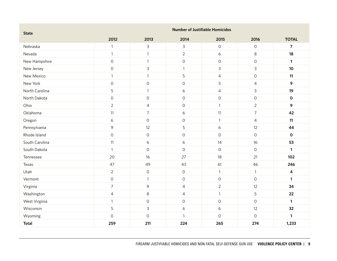| <b>State</b>   | <b>Number of Justifiable Homicides</b> |                     |                     |                     |                     |                         |  |  |  |  |  |
|----------------|----------------------------------------|---------------------|---------------------|---------------------|---------------------|-------------------------|--|--|--|--|--|
|                | 2012                                   | 2013                | 2014                | 2015                | 2016                | <b>TOTAL</b>            |  |  |  |  |  |
| Nebraska       | $\mathbf{1}$                           | 3                   | 3                   | $\mathsf{O}$        | $\mathsf O$         | $\overline{7}$          |  |  |  |  |  |
| Nevada         | $\mathbf{1}$                           | $\mathbf{1}$        | $\overline{2}$      | $\epsilon$          | 8                   | 18                      |  |  |  |  |  |
| New Hampshire  | $\mathsf{O}$                           | $\mathbf{1}$        | $\mathsf{O}\xspace$ | $\mathsf O$         | $\mathsf O$         | $\mathbf{1}$            |  |  |  |  |  |
| New Jersey     | $\mathsf{O}\xspace$                    | 3                   | $\mathbf{1}$        | 3                   | $\mathsf{3}$        | 10                      |  |  |  |  |  |
| New Mexico     | $\mathbf{1}$                           | $\mathbf{1}$        | 5                   | $\sqrt{4}$          | $\mathsf{O}\xspace$ | 11                      |  |  |  |  |  |
| New York       | $\mathsf O$                            | $\mathsf{O}\xspace$ | $\mathsf O$         | 5                   | $\overline{4}$      | 9                       |  |  |  |  |  |
| North Carolina | 5                                      | $\mathbf{1}$        | $\boldsymbol{6}$    | $\overline{4}$      | $\mathsf{3}$        | 19                      |  |  |  |  |  |
| North Dakota   | $\mathsf{O}\xspace$                    | $\mathsf O$         | $\mathsf O$         | $\mathbf 0$         | $\mathsf O$         | $\mathbf 0$             |  |  |  |  |  |
| Ohio           | $\overline{2}$                         | $\overline{4}$      | $\mathsf O$         | $\mathbf{1}$        | $\overline{2}$      | 9                       |  |  |  |  |  |
| Oklahoma       | 11                                     | $\overline{7}$      | 6                   | 11                  | $\overline{7}$      | 42                      |  |  |  |  |  |
| Oregon         | 6                                      | $\mathsf O$         | $\mathsf O$         | $\mathbf{1}$        | $\overline{4}$      | 11                      |  |  |  |  |  |
| Pennsylvania   | 9                                      | 12                  | 5                   | $\epsilon$          | 12                  | 44                      |  |  |  |  |  |
| Rhode Island   | $\mathsf{O}\xspace$                    | $\mathsf{O}\xspace$ | $\mathsf O$         | $\mathsf{O}$        | $\mathsf O$         | $\mathbf 0$             |  |  |  |  |  |
| South Carolina | 11                                     | 6                   | $\epsilon$          | 14                  | 16                  | 53                      |  |  |  |  |  |
| South Dakota   | $\mathbf{1}$                           | $\mathsf O$         | $\mathsf O$         | $\mathsf{O}$        | $\mathsf O$         | $\mathbf{1}$            |  |  |  |  |  |
| Tennessee      | 20                                     | 16                  | 27                  | 18                  | 21                  | 102                     |  |  |  |  |  |
| Texas          | 47                                     | 49                  | 43                  | 61                  | 46                  | 246                     |  |  |  |  |  |
| Utah           | $\overline{2}$                         | $\mathsf{O}\xspace$ | $\mathsf O$         | $\mathbf{1}$        | $\mathbf{1}$        | $\overline{\mathbf{4}}$ |  |  |  |  |  |
| Vermont        | $\mathsf{O}\xspace$                    | $\mathbf{1}$        | $\mathsf O$         | $\mathsf{O}\xspace$ | $\circ$             | $\mathbf{1}$            |  |  |  |  |  |
| Virginia       | $\overline{7}$                         | 9                   | 4                   | $\overline{2}$      | 12                  | 34                      |  |  |  |  |  |
| Washington     | $\overline{4}$                         | 8                   | $\overline{4}$      | $\mathbf{1}$        | 5                   | 22                      |  |  |  |  |  |
| West Virginia  | $\mathbf{1}$                           | $\mathsf{O}\xspace$ | $\mathsf O$         | $\mathsf{O}$        | $\circ$             | $\mathbf{1}$            |  |  |  |  |  |
| Wisconsin      | 5                                      | 3                   | 6                   | 6                   | 12                  | 32                      |  |  |  |  |  |
| Wyoming        | $\mathsf{O}\xspace$                    | $\mathsf{O}\xspace$ | $\mathbf{1}$        | $\mathbf 0$         | $\mathsf O$         | $\mathbf{1}$            |  |  |  |  |  |
| <b>Total</b>   | 259                                    | 211                 | 224                 | 265                 | 274                 | 1,233                   |  |  |  |  |  |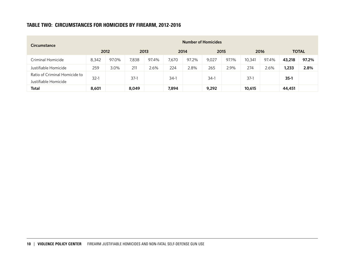# TABLE TWO: CIRCUMSTANCES FOR HOMICIDES BY FIREARM, 2012-2016

| <b>Circumstance</b>                                   |        |       |        |       |        |       | <b>Number of Homicides</b> |       |        |       |        |              |
|-------------------------------------------------------|--------|-------|--------|-------|--------|-------|----------------------------|-------|--------|-------|--------|--------------|
|                                                       |        | 2012  | 2013   |       |        | 2014  | 2015                       |       | 2016   |       |        | <b>TOTAL</b> |
| Criminal Homicide                                     | 8,342  | 97.0% | 7,838  | 97.4% | 7,670  | 97.2% | 9,027                      | 97.1% | 10,341 | 97.4% | 43,218 | 97.2%        |
| Justifiable Homicide                                  | 259    | 3.0%  | 211    | 2.6%  | 224    | 2.8%  | 265                        | 2.9%  | 274    | 2.6%  | 1,233  | 2.8%         |
| Ratio of Criminal Homicide to<br>Justifiable Homicide | $32-1$ |       | $37-1$ |       | $34-1$ |       | $34-1$                     |       | $37-1$ |       | $35-1$ |              |
| <b>Total</b>                                          | 8,601  |       | 8.049  |       | 7,894  |       | 9,292                      |       | 10,615 |       | 44,451 |              |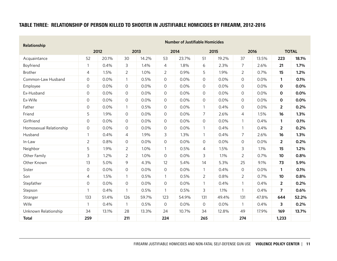# TABLE THREE: RELATIONSHIP OF PERSON KILLED TO SHOOTER IN JUSTIFIABLE HOMICIDES BY FIREARM, 2012-2016

| Relationship            |                     |       |                |       |                     | <b>Number of Justifiable Homicides</b> |                |       |                |       |                |              |
|-------------------------|---------------------|-------|----------------|-------|---------------------|----------------------------------------|----------------|-------|----------------|-------|----------------|--------------|
|                         |                     | 2012  |                | 2013  |                     | 2014                                   |                | 2015  |                | 2016  |                | <b>TOTAL</b> |
| Acquaintance            | 52                  | 20.1% | 30             | 14.2% | 53                  | 23.7%                                  | 51             | 19.2% | 37             | 13.5% | 223            | 18.1%        |
| Boyfriend               | $\mathbf{1}$        | 0.4%  | $\mathsf{3}$   | 1.4%  | $\overline{4}$      | 1.8%                                   | 6              | 2.3%  | $\overline{7}$ | 2.6%  | 21             | 1.7%         |
| Brother                 | $\overline{4}$      | 1.5%  | $\overline{2}$ | 1.0%  | $\overline{2}$      | 0.9%                                   | 5              | 1.9%  | $\overline{2}$ | 0.7%  | 15             | 1.2%         |
| Common-Law Husband      | $\circ$             | 0.0%  | $\overline{1}$ | 0.5%  | $\mathsf{O}\xspace$ | 0.0%                                   | 0              | 0.0%  | $\mathsf{O}$   | 0.0%  | $\mathbf{1}$   | 0.1%         |
| Employee                | $\mathsf{O}$        | 0.0%  | $\mathsf{O}$   | 0.0%  | 0                   | 0.0%                                   | $\Omega$       | 0.0%  | 0              | 0.0%  | 0              | 0.0%         |
| Ex-Husband              | $\mathsf O$         | 0.0%  | $\mathbf 0$    | 0.0%  | 0                   | 0.0%                                   | 0              | 0.0%  | $\mathsf{O}$   | 0.0%  | 0              | 0.0%         |
| Ex-Wife                 | $\mathsf{O}$        | 0.0%  | $\mathcal{O}$  | 0.0%  | 0                   | 0.0%                                   | 0              | 0.0%  | $\circ$        | 0.0%  | 0              | 0.0%         |
| Father                  | $\mathsf O$         | 0.0%  | $\overline{1}$ | 0.5%  | $\mathsf{O}$        | 0.0%                                   | $\mathbf{1}$   | 0.4%  | $\mathsf{O}$   | 0.0%  | $\overline{2}$ | 0.2%         |
| Friend                  | 5                   | 1.9%  | $\mathbf 0$    | 0.0%  | $\mathbf 0$         | 0.0%                                   | $\overline{7}$ | 2.6%  | 4              | 1.5%  | 16             | 1.3%         |
| Girlfriend              | $\mathsf{O}\xspace$ | 0.0%  | $\mathcal{O}$  | 0.0%  | 0                   | 0.0%                                   | 0              | 0.0%  | $\mathbf{1}$   | 0.4%  | $\mathbf{1}$   | 0.1%         |
| Homosexual Relationship | $\circ$             | 0.0%  | $\mathsf{O}$   | 0.0%  | 0                   | 0.0%                                   | 1              | 0.4%  | $\mathbf{1}$   | 0.4%  | $\overline{2}$ | 0.2%         |
| Husband                 | $\mathbf{1}$        | 0.4%  | $\overline{4}$ | 1.9%  | 3                   | 1.3%                                   | $\mathbf{1}$   | 0.4%  | $\overline{7}$ | 2.6%  | 16             | 1.3%         |
| In-Law                  | $\overline{2}$      | 0.8%  | $\overline{O}$ | 0.0%  | 0                   | 0.0%                                   | $\mathsf{O}$   | 0.0%  | $\mathsf{O}$   | 0.0%  | $\overline{2}$ | 0.2%         |
| Neighbor                | 5                   | 1.9%  | $\overline{2}$ | 1.0%  | $\mathbf{1}$        | 0.5%                                   | 4              | 1.5%  | 3              | 1.1%  | 15             | 1.2%         |
| Other Family            | 3                   | 1.2%  | $\overline{2}$ | 1.0%  | $\mathsf{O}\xspace$ | 0.0%                                   | 3              | 1.1%  | $\overline{2}$ | 0.7%  | 10             | 0.8%         |
| Other Known             | 13                  | 5.0%  | 9              | 4.3%  | 12                  | 5.4%                                   | 14             | 5.3%  | 25             | 9.1%  | 73             | 5.9%         |
| Sister                  | $\mathsf{O}\xspace$ | 0.0%  | $\mathbf 0$    | 0.0%  | 0                   | 0.0%                                   | $\mathbf{1}$   | 0.4%  | $\mathsf{O}$   | 0.0%  | $\mathbf{1}$   | 0.1%         |
| Son                     | $\overline{4}$      | 1.5%  | $\mathbf{1}$   | 0.5%  | $\mathbf{1}$        | 0.5%                                   | $\overline{2}$ | 0.8%  | $\overline{2}$ | 0.7%  | 10             | 0.8%         |
| Stepfather              | $\overline{O}$      | 0.0%  | $\mathsf{O}$   | 0.0%  | $\Omega$            | 0.0%                                   | $\mathbf{1}$   | 0.4%  | $\mathbf{1}$   | 0.4%  | $\overline{2}$ | 0.2%         |
| Stepson                 | $\mathbf{1}$        | 0.4%  | $\mathbf{1}$   | 0.5%  | $\mathbf{1}$        | 0.5%                                   | 3              | 1.1%  | $\mathbf{1}$   | 0.4%  | 7              | 0.6%         |
| Stranger                | 133                 | 51.4% | 126            | 59.7% | 123                 | 54.9%                                  | 131            | 49.4% | 131            | 47.8% | 644            | 52.2%        |
| Wife                    | $\mathbf{1}$        | 0.4%  | $\mathbf{1}$   | 0.5%  | $\mathsf{O}$        | 0.0%                                   | $\mathsf{O}$   | 0.0%  | $\mathbf{1}$   | 0.4%  | 3              | 0.2%         |
| Unknown Relationship    | 34                  | 13.1% | 28             | 13.3% | 24                  | 10.7%                                  | 34             | 12.8% | 49             | 17.9% | 169            | 13.7%        |
| <b>Total</b>            | 259                 |       | 211            |       | 224                 |                                        | 265            |       | 274            |       | 1,233          |              |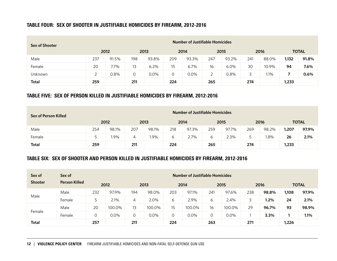# TABLE FOUR: SEX OF SHOOTER IN JUSTIFIABLE HOMICIDES BY FIREARM, 2012-2016

| <b>Sex of Shooter</b> |     |       |     |       |     | <b>Number of Justifiable Homicides</b> |        |       |     |       |       |              |
|-----------------------|-----|-------|-----|-------|-----|----------------------------------------|--------|-------|-----|-------|-------|--------------|
|                       |     | 2012  |     | 2013  |     | 2014                                   |        | 2015  |     | 2016  |       | <b>TOTAL</b> |
| Male                  | 237 | 91.5% | 198 | 93.8% | 209 | 93.3%                                  | 247    | 93.2% | 241 | 88.0% | 1,132 | 91.8%        |
| Female                | 20  | 7.7%  | 13  | 6.2%  | 15  | 6.7%                                   | 16     | 6.0%  | 30  | 10.9% | 94    | 7.6%         |
| Unknown               |     | 0.8%  |     | 0.0%  | 0   | 0.0%                                   | っ<br>∸ | 0.8%  |     | 1.1%  |       | 0.6%         |
| <b>Total</b>          | 259 |       | 211 |       | 224 |                                        | 265    |       | 274 |       | 1,233 |              |

#### TABLE FIVE: SEX OF PERSON KILLED IN JUSTIFIABLE HOMICIDES BY FIREARM, 2012-2016

| Sex of Person Killed |              |      |      |       |              | <b>Number of Justifiable Homicides</b> |      |       |      |       |              |       |
|----------------------|--------------|------|------|-------|--------------|----------------------------------------|------|-------|------|-------|--------------|-------|
|                      | 2012         |      | 2013 |       | 2014         |                                        | 2015 |       | 2016 |       | <b>TOTAL</b> |       |
| Male                 | 254<br>98.1% |      | 207  | 98.1% | 218<br>97.3% |                                        | 259  | 97.7% | 269  | 98.2% | 1,207        | 97.9% |
| Female               |              | l.9% | 4    | l.9%  | 6            | 2.7%                                   | 6    | 2.3%  | 5    | 1.8%  | 26           | 2.1%  |
| Total                | 259          |      | 211  |       | 224          |                                        | 265  |       | 274  |       | 1,233        |       |

# TABLE SIX: SEX OF SHOOTER AND PERSON KILLED IN JUSTIFIABLE HOMICIDES BY FIREARM, 2012-2016

| Sex of         | Sex of               |                | <b>Number of Justifiable Homicides</b> |     |        |     |        |     |        |     |       |       |              |
|----------------|----------------------|----------------|----------------------------------------|-----|--------|-----|--------|-----|--------|-----|-------|-------|--------------|
| <b>Shooter</b> | <b>Person Killed</b> |                | 2012                                   |     | 2013   |     | 2014   |     | 2015   |     | 2016  |       | <b>TOTAL</b> |
| Male           | Male                 | 232            | 97.9%                                  | 194 | 98.0%  | 203 | 97.1%  | 241 | 97.6%  | 238 | 98.8% | 1,108 | 97.9%        |
|                | Female               | 5              | 2.1%                                   | 4   | 2.0%   | 6   | 2.9%   | 6   | 2.4%   |     | 1.2%  | 24    | 2.1%         |
|                | Male                 | 20             | 100.0%                                 | 13  | 100.0% | 15  | 100.0% | 16  | 100.0% | 29  | 96.7% | 93    | 98.9%        |
| Female         | Female               | $\overline{O}$ | 0.0%                                   | 0   | 0.0%   | 0   | 0.0%   | 0   | 0.0%   |     | 3.3%  |       | 1.1%         |
| <b>Total</b>   |                      | 257            |                                        | 211 |        | 224 |        | 263 |        | 271 |       | 1,226 |              |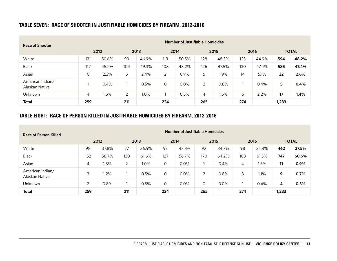# TABLE SEVEN: RACE OF SHOOTER IN JUSTIFIABLE HOMICIDES BY FIREARM, 2012-2016

| <b>Race of Shooter</b>             | <b>Number of Justifiable Homicides</b> |       |     |       |     |       |     |       |     |         |       |              |
|------------------------------------|----------------------------------------|-------|-----|-------|-----|-------|-----|-------|-----|---------|-------|--------------|
|                                    |                                        | 2012  |     | 2013  |     | 2014  |     | 2015  |     | 2016    |       | <b>TOTAL</b> |
| White                              | 131                                    | 50.6% | 99  | 46.9% | 113 | 50.5% | 128 | 48.3% | 123 | 44.9%   | 594   | 48.2%        |
| <b>Black</b>                       | 117                                    | 45.2% | 104 | 49.3% | 108 | 48.2% | 126 | 47.5% | 130 | 47.4%   | 585   | 47.4%        |
| Asian                              | 6                                      | 2.3%  | 5   | 2.4%  | 2   | 0.9%  | 5   | 1.9%  | 14  | 5.1%    | 32    | 2.6%         |
| American Indian/<br>Alaskan Native |                                        | 0.4%  |     | 0.5%  | 0   | 0.0%  | 2   | 0.8%  |     | $0.4\%$ | 5     | 0.4%         |
| Unknown                            | 4                                      | 1.5%  | 2   | 1.0%  |     | 0.5%  | 4   | 1.5%  | 6   | 2.2%    | 17    | 1.4%         |
| <b>Total</b>                       | 259                                    |       | 211 |       | 224 |       | 265 |       | 274 |         | 1,233 |              |

# TABLE EIGHT: RACE OF PERSON KILLED IN JUSTIFIABLE HOMICIDES BY FIREARM, 2012-2016

| Race of Person Killed              | <b>Number of Justifiable Homicides</b> |         |     |       |         |       |          |       |     |       |       |              |
|------------------------------------|----------------------------------------|---------|-----|-------|---------|-------|----------|-------|-----|-------|-------|--------------|
|                                    |                                        | 2012    |     | 2013  |         | 2014  |          | 2015  |     | 2016  |       | <b>TOTAL</b> |
| White                              | 98                                     | 37.8%   | 77  | 36.5% | 97      | 43.3% | 92       | 34.7% | 98  | 35.8% | 462   | 37.5%        |
| <b>Black</b>                       | 152                                    | 58.7%   | 130 | 61.6% | 127     | 56.7% | 170      | 64.2% | 168 | 61.3% | 747   | 60.6%        |
| Asian                              | 4                                      | l.5%    | 2   | 1.0%  | $\circ$ | 0.0%  |          | 0.4%  | 4   | 1.5%  | 11    | 0.9%         |
| American Indian/<br>Alaskan Native | 3                                      | $1.2\%$ |     | 0.5%  | $\circ$ | 0.0%  | 2        | 0.8%  | 3   | 1.1%  | 9     | 0.7%         |
| Unknown                            | $\overline{2}$                         | 0.8%    |     | 0.5%  | $\circ$ | 0.0%  | $\Omega$ | 0.0%  |     | 0.4%  | 4     | 0.3%         |
| <b>Total</b>                       | 259                                    |         | 211 |       | 224     |       | 265      |       | 274 |       | 1,233 |              |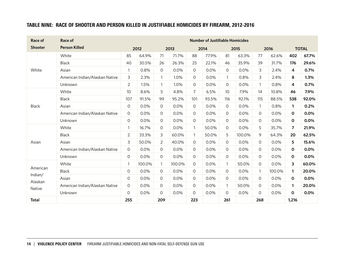# TABLE NINE: RACE OF SHOOTER AND PERSON KILLED IN JUSTIFIABLE HOMICIDES BY FIREARM, 2012-2016

| Race of           | Race of                        |                     |        |                |        |                | <b>Number of Justifiable Homicides</b> |                |        |              |        |                |              |
|-------------------|--------------------------------|---------------------|--------|----------------|--------|----------------|----------------------------------------|----------------|--------|--------------|--------|----------------|--------------|
| <b>Shooter</b>    | <b>Person Killed</b>           |                     | 2012   |                | 2013   |                | 2014                                   |                | 2015   |              | 2016   |                | <b>TOTAL</b> |
|                   | White                          | 85                  | 64.9%  | 71             | 71.7%  | 88             | 77.9%                                  | 81             | 63.3%  | 77           | 62.6%  | 402            | 67.7%        |
|                   | <b>Black</b>                   | 40                  | 30.5%  | 26             | 26.3%  | 25             | 22.1%                                  | 46             | 35.9%  | 39           | 31.7%  | 176            | 29.6%        |
| White             | Asian                          | $\mathbf{1}$        | 0.8%   | 0              | 0.0%   | 0              | 0.0%                                   | $\circ$        | 0.0%   | 3            | 2.4%   | 4              | 0.7%         |
|                   | American Indian/Alaskan Native | 3                   | 2.3%   | $\mathbf{1}$   | 1.0%   | 0              | 0.0%                                   | $\mathbf{1}$   | 0.8%   | 3            | 2.4%   | 8              | 1.3%         |
|                   | Unknown                        | $\overline{2}$      | 1.5%   | $\mathbf{1}$   | 1.0%   | 0              | 0.0%                                   | $\circ$        | 0.0%   | $\mathbf{1}$ | 0.8%   | 4              | 0.7%         |
|                   | White                          | 10                  | 8.6%   | 5              | 4.8%   | $\overline{7}$ | 6.5%                                   | 10             | 7.9%   | 14           | 10.8%  | 46             | 7.9%         |
|                   | <b>Black</b>                   | 107                 | 91.5%  | 99             | 95.2%  | 101            | 93.5%                                  | 116            | 92.1%  | 115          | 88.5%  | 538            | 92.0%        |
| Black             | Asian                          | $\overline{O}$      | 0.0%   | 0              | 0.0%   | $\Omega$       | 0.0%                                   | $\overline{0}$ | 0.0%   | $\mathbf{1}$ | 0.8%   | 1              | 0.2%         |
|                   | American Indian/Alaskan Native | $\circ$             | 0.0%   | $\mathsf O$    | 0.0%   | 0              | 0.0%                                   | $\mathsf{O}$   | 0.0%   | $\mathsf{O}$ | 0.0%   | $\mathbf 0$    | 0.0%         |
|                   | Unknown                        | $\mathsf{O}$        | 0.0%   | 0              | 0.0%   | 0              | 0.0%                                   | 0              | 0.0%   | $\mathsf O$  | 0.0%   | $\mathbf 0$    | 0.0%         |
|                   | White                          | $\mathbf{1}$        | 16.7%  | 0              | 0.0%   | 1              | 50.0%                                  | 0              | 0.0%   | 5            | 35.7%  | $\overline{7}$ | 21.9%        |
|                   | Black                          | $\overline{2}$      | 33.3%  | 3              | 60.0%  | $\mathbf{1}$   | 50.0%                                  | 5              | 100.0% | 9            | 64.3%  | 20             | 62.5%        |
| Asian             | Asian                          | 3                   | 50.0%  | $\overline{2}$ | 40.0%  | $\Omega$       | 0.0%                                   | 0              | 0.0%   | 0            | 0.0%   | 5              | 15.6%        |
|                   | American Indian/Alaskan Native | $\circ$             | 0.0%   | 0              | 0.0%   | $\circ$        | 0.0%                                   | 0              | 0.0%   | 0            | 0.0%   | $\mathbf 0$    | 0.0%         |
|                   | Unknown                        | $\mathsf{O}$        | 0.0%   | 0              | 0.0%   | $\Omega$       | 0.0%                                   | $\Omega$       | 0.0%   | 0            | 0.0%   | $\mathbf 0$    | 0.0%         |
|                   | White                          | $\mathbf{1}$        | 100.0% | $\mathbf{1}$   | 100.0% | $\circ$        | 0.0%                                   | $\mathbf{1}$   | 50.0%  | 0            | 0.0%   | 3              | 60.0%        |
| American          | Black                          | $\circ$             | 0.0%   | 0              | 0.0%   | $\Omega$       | 0.0%                                   | $\overline{0}$ | 0.0%   | $\mathbf{1}$ | 100.0% | $\mathbf{1}$   | 20.0%        |
| Indian/           | Asian                          | $\mathsf O$         | 0.0%   | 0              | 0.0%   | $\circ$        | 0.0%                                   | $\circ$        | 0.0%   | $\circ$      | 0.0%   | 0              | 0.0%         |
| Alaskan<br>Native | American Indian/Alaskan Native | 0                   | 0.0%   | 0              | 0.0%   | $\overline{0}$ | 0.0%                                   | 1              | 50.0%  | 0            | 0.0%   | 1              | 20.0%        |
|                   | Unknown                        | $\mathsf{O}\xspace$ | 0.0%   | 0              | 0.0%   | $\Omega$       | 0.0%                                   | $\Omega$       | 0.0%   | 0            | 0.0%   | $\mathbf 0$    | 0.0%         |
| <b>Total</b>      |                                | 255                 |        | 209            |        | 223            |                                        | 261            |        | 268          |        | 1,216          |              |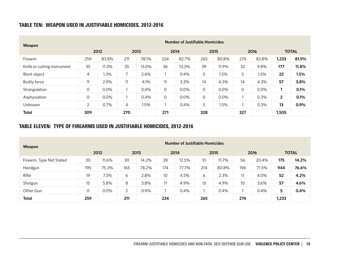# TABLE TEN: WEAPON USED IN JUSTIFIABLE HOMICIDES, 2012-2016

| <b>Weapon</b>               | <b>Number of Justifiable Homicides</b> |       |                          |       |                |       |     |       |         |       |                         |              |
|-----------------------------|----------------------------------------|-------|--------------------------|-------|----------------|-------|-----|-------|---------|-------|-------------------------|--------------|
|                             |                                        | 2012  |                          | 2013  |                | 2014  |     | 2015  |         | 2016  |                         | <b>TOTAL</b> |
| Firearm                     | 259                                    | 83.8% | 211                      | 78.1% | 224            | 82.7% | 265 | 80.8% | 274     | 83.8% | 1,233                   | 81.9%        |
| Knife or cutting instrument | 35                                     | 11.3% | 35                       | 13.0% | 36             | 13.3% | 39  | 11.9% | 32      | 9.8%  | 177                     | 11.8%        |
| Blunt object                | 4                                      | 1.3%  | $\overline{\phantom{a}}$ | 2.6%  |                | 0.4%  | 5   | 1.5%  | 5       | 1.5%  | 22                      | 1.5%         |
| Bodily force                | 9                                      | 2.9%  | 11                       | 4.1%  | 9              | 3.3%  | 14  | 4.3%  | 14      | 4.3%  | 57                      | 3.8%         |
| Strangulation               | 0                                      | 0.0%  |                          | 0.4%  | $\mathcal{O}$  | 0.0%  | 0   | 0.0%  | $\circ$ | 0.0%  |                         | 0.1%         |
| Asphyxiation                | $\mathbf 0$                            | 0.0%  |                          | 0.4%  | $\overline{O}$ | 0.0%  | 0   | 0.0%  |         | 0.3%  | $\overline{\mathbf{2}}$ | 0.1%         |
| Unknown                     | 2                                      | 0.7%  | $\overline{4}$           | 1.5%  |                | 0.4%  | 5   | 1.5%  |         | 0.3%  | 13                      | 0.9%         |
| <b>Total</b>                | 309                                    |       | 270                      |       | 271            |       | 328 |       | 327     |       | 1,505                   |              |

# TABLE ELEVEN: TYPE OF FIREARMS USED IN JUSTIFIABLE HOMICIDES, 2012-2016

| Weapon                   | <b>Number of Justifiable Homicides</b> |       |      |       |      |       |      |       |      |         |              |       |
|--------------------------|----------------------------------------|-------|------|-------|------|-------|------|-------|------|---------|--------------|-------|
|                          | 2012                                   |       | 2013 |       | 2014 |       | 2015 |       | 2016 |         | <b>TOTAL</b> |       |
| Firearm, Type Not Stated | 30                                     | 11.6% | 30   | 14.2% | 28   | 12.5% | 31   | 11.7% | 56   | 20.4%   | 175          | 14.2% |
| Handgun                  | 195                                    | 75.3% | 165  | 78.2% | 174  | 77.7% | 214  | 80.8% | 196  | 71.5%   | 944          | 76.6% |
| Rifle                    | 19                                     | 7.3%  | 6    | 2.8%  | 10   | 4.5%  | 6    | 2.3%  | 11   | 4.0%    | 52           | 4.2%  |
| Shotgun                  | 15                                     | 5.8%  | 8    | 3.8%  | 11   | 4.9%  | 13   | 4.9%  | 10   | 3.6%    | 57           | 4.6%  |
| Other Gun                | 0                                      | 0.0%  | 2    | 0.9%  |      | 0.4%  |      | 0.4%  |      | $0.4\%$ | 5            | 0.4%  |
| <b>Total</b>             | 259                                    |       | 211  |       | 224  |       | 265  |       | 274  |         | 1,233        |       |